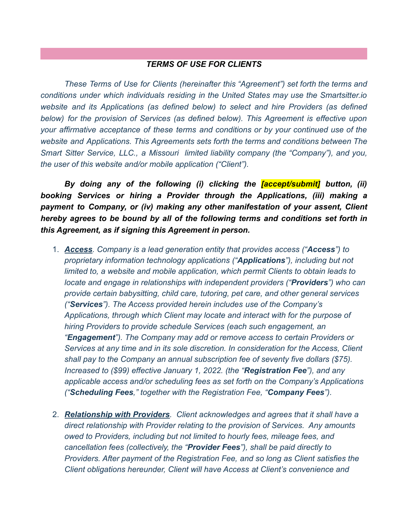## *TERMS OF USE FOR CLIENTS*

*These Terms of Use for Clients (hereinafter this "Agreement") set forth the terms and conditions under which individuals residing in the United States may use the Smartsitter.io website and its Applications (as defined below) to select and hire Providers (as defined below) for the provision of Services (as defined below). This Agreement is effective upon your affirmative acceptance of these terms and conditions or by your continued use of the website and Applications. This Agreements sets forth the terms and conditions between The Smart Sitter Service, LLC., a Missouri limited liability company (the "Company"), and you, the user of this website and/or mobile application ("Client").*

*By doing any of the following (i) clicking the [accept/submit] button, (ii) booking Services or hiring a Provider through the Applications, (iii) making a payment to Company, or (iv) making any other manifestation of your assent, Client hereby agrees to be bound by all of the following terms and conditions set forth in this Agreement, as if signing this Agreement in person.*

- 1. *Access. Company is a lead generation entity that provides access ("Access") to proprietary information technology applications ("Applications"), including but not limited to, a website and mobile application, which permit Clients to obtain leads to locate and engage in relationships with independent providers ("Providers") who can provide certain babysitting, child care, tutoring, pet care, and other general services ("Services"). The Access provided herein includes use of the Company's Applications, through which Client may locate and interact with for the purpose of hiring Providers to provide schedule Services (each such engagement, an "Engagement"). The Company may add or remove access to certain Providers or Services at any time and in its sole discretion. In consideration for the Access, Client shall pay to the Company an annual subscription fee of seventy five dollars (\$75). Increased to (\$99) effective January 1, 2022. (the "Registration Fee"), and any applicable access and/or scheduling fees as set forth on the Company's Applications ("Scheduling Fees," together with the Registration Fee, "Company Fees").*
- 2. *Relationship with Providers. Client acknowledges and agrees that it shall have a direct relationship with Provider relating to the provision of Services. Any amounts owed to Providers, including but not limited to hourly fees, mileage fees, and cancellation fees (collectively, the "Provider Fees"), shall be paid directly to Providers. After payment of the Registration Fee, and so long as Client satisfies the Client obligations hereunder, Client will have Access at Client's convenience and*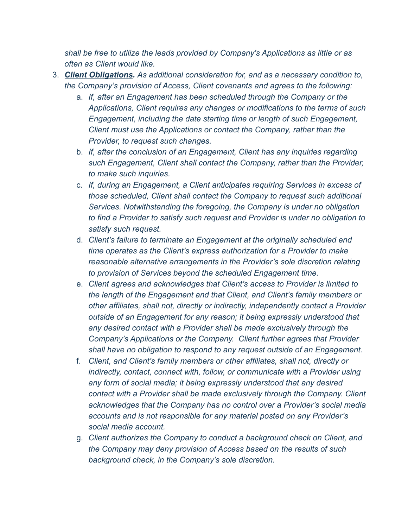*shall be free to utilize the leads provided by Company's Applications as little or as often as Client would like.*

- 3. *Client Obligations. As additional consideration for, and as a necessary condition to, the Company's provision of Access, Client covenants and agrees to the following:*
	- a. *If, after an Engagement has been scheduled through the Company or the Applications, Client requires any changes or modifications to the terms of such Engagement, including the date starting time or length of such Engagement, Client must use the Applications or contact the Company, rather than the Provider, to request such changes.*
	- b. *If, after the conclusion of an Engagement, Client has any inquiries regarding such Engagement, Client shall contact the Company, rather than the Provider, to make such inquiries.*
	- c. *If, during an Engagement, a Client anticipates requiring Services in excess of those scheduled, Client shall contact the Company to request such additional Services. Notwithstanding the foregoing, the Company is under no obligation to find a Provider to satisfy such request and Provider is under no obligation to satisfy such request.*
	- d. *Client's failure to terminate an Engagement at the originally scheduled end time operates as the Client's express authorization for a Provider to make reasonable alternative arrangements in the Provider's sole discretion relating to provision of Services beyond the scheduled Engagement time.*
	- e. *Client agrees and acknowledges that Client's access to Provider is limited to the length of the Engagement and that Client, and Client's family members or other affiliates, shall not, directly or indirectly, independently contact a Provider outside of an Engagement for any reason; it being expressly understood that any desired contact with a Provider shall be made exclusively through the Company's Applications or the Company. Client further agrees that Provider shall have no obligation to respond to any request outside of an Engagement.*
	- f. *Client, and Client's family members or other affiliates, shall not, directly or indirectly, contact, connect with, follow, or communicate with a Provider using any form of social media; it being expressly understood that any desired contact with a Provider shall be made exclusively through the Company. Client acknowledges that the Company has no control over a Provider's social media accounts and is not responsible for any material posted on any Provider's social media account.*
	- g. *Client authorizes the Company to conduct a background check on Client, and the Company may deny provision of Access based on the results of such background check, in the Company's sole discretion.*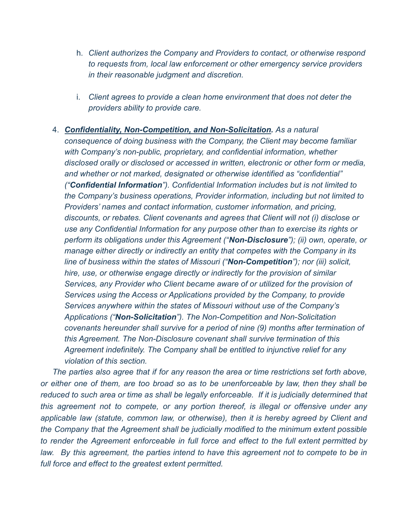- h. *Client authorizes the Company and Providers to contact, or otherwise respond to requests from, local law enforcement or other emergency service providers in their reasonable judgment and discretion.*
- i. *Client agrees to provide a clean home environment that does not deter the providers ability to provide care.*
- 4. *Confidentiality, Non-Competition, and Non-Solicitation. As a natural consequence of doing business with the Company, the Client may become familiar with Company's non-public, proprietary, and confidential information, whether disclosed orally or disclosed or accessed in written, electronic or other form or media, and whether or not marked, designated or otherwise identified as "confidential" ("Confidential Information"). Confidential Information includes but is not limited to the Company's business operations, Provider information, including but not limited to Providers' names and contact information, customer information, and pricing, discounts, or rebates. Client covenants and agrees that Client will not (i) disclose or use any Confidential Information for any purpose other than to exercise its rights or perform its obligations under this Agreement ("Non-Disclosure"); (ii) own, operate, or manage either directly or indirectly an entity that competes with the Company in its line of business within the states of Missouri ("Non-Competition"); nor (iii) solicit, hire, use, or otherwise engage directly or indirectly for the provision of similar Services, any Provider who Client became aware of or utilized for the provision of Services using the Access or Applications provided by the Company, to provide Services anywhere within the states of Missouri without use of the Company's Applications ("Non-Solicitation"). The Non-Competition and Non-Solicitation covenants hereunder shall survive for a period of nine (9) months after termination of this Agreement. The Non-Disclosure covenant shall survive termination of this Agreement indefinitely. The Company shall be entitled to injunctive relief for any violation of this section.*

*The parties also agree that if for any reason the area or time restrictions set forth above, or either one of them, are too broad so as to be unenforceable by law, then they shall be reduced to such area or time as shall be legally enforceable. If it is judicially determined that this agreement not to compete, or any portion thereof, is illegal or offensive under any applicable law (statute, common law, or otherwise), then it is hereby agreed by Client and the Company that the Agreement shall be judicially modified to the minimum extent possible to render the Agreement enforceable in full force and effect to the full extent permitted by law. By this agreement, the parties intend to have this agreement not to compete to be in full force and effect to the greatest extent permitted.*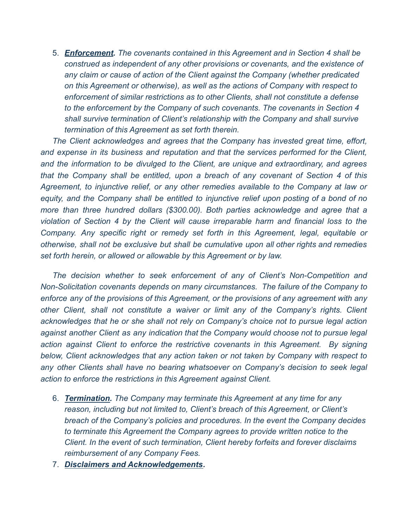5. *Enforcement. The covenants contained in this Agreement and in Section 4 shall be construed as independent of any other provisions or covenants, and the existence of any claim or cause of action of the Client against the Company (whether predicated on this Agreement or otherwise), as well as the actions of Company with respect to enforcement of similar restrictions as to other Clients, shall not constitute a defense to the enforcement by the Company of such covenants. The covenants in Section 4 shall survive termination of Client's relationship with the Company and shall survive termination of this Agreement as set forth therein.*

*The Client acknowledges and agrees that the Company has invested great time, effort, and expense in its business and reputation and that the services performed for the Client, and the information to be divulged to the Client, are unique and extraordinary, and agrees that the Company shall be entitled, upon a breach of any covenant of Section 4 of this Agreement, to injunctive relief, or any other remedies available to the Company at law or equity, and the Company shall be entitled to injunctive relief upon posting of a bond of no more than three hundred dollars (\$300.00). Both parties acknowledge and agree that a violation of Section 4 by the Client will cause irreparable harm and financial loss to the Company. Any specific right or remedy set forth in this Agreement, legal, equitable or otherwise, shall not be exclusive but shall be cumulative upon all other rights and remedies set forth herein, or allowed or allowable by this Agreement or by law.*

*The decision whether to seek enforcement of any of Client's Non-Competition and Non-Solicitation covenants depends on many circumstances. The failure of the Company to enforce any of the provisions of this Agreement, or the provisions of any agreement with any other Client, shall not constitute a waiver or limit any of the Company's rights. Client acknowledges that he or she shall not rely on Company's choice not to pursue legal action against another Client as any indication that the Company would choose not to pursue legal action against Client to enforce the restrictive covenants in this Agreement. By signing below, Client acknowledges that any action taken or not taken by Company with respect to any other Clients shall have no bearing whatsoever on Company's decision to seek legal action to enforce the restrictions in this Agreement against Client.*

- 6. *Termination. The Company may terminate this Agreement at any time for any reason, including but not limited to, Client's breach of this Agreement, or Client's breach of the Company's policies and procedures. In the event the Company decides to terminate this Agreement the Company agrees to provide written notice to the Client. In the event of such termination, Client hereby forfeits and forever disclaims reimbursement of any Company Fees.*
- 7. *Disclaimers and Acknowledgements.*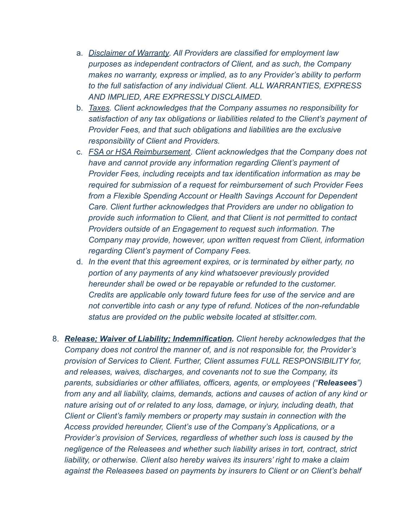- a. *Disclaimer of Warranty. All Providers are classified for employment law purposes as independent contractors of Client, and as such, the Company makes no warranty, express or implied, as to any Provider's ability to perform to the full satisfaction of any individual Client. ALL WARRANTIES, EXPRESS AND IMPLIED, ARE EXPRESSLY DISCLAIMED.*
- b. *Taxes. Client acknowledges that the Company assumes no responsibility for satisfaction of any tax obligations or liabilities related to the Client's payment of Provider Fees, and that such obligations and liabilities are the exclusive responsibility of Client and Providers.*
- c. *FSA or HSA Reimbursement. Client acknowledges that the Company does not have and cannot provide any information regarding Client's payment of Provider Fees, including receipts and tax identification information as may be required for submission of a request for reimbursement of such Provider Fees from a Flexible Spending Account or Health Savings Account for Dependent Care. Client further acknowledges that Providers are under no obligation to provide such information to Client, and that Client is not permitted to contact Providers outside of an Engagement to request such information. The Company may provide, however, upon written request from Client, information regarding Client's payment of Company Fees.*
- d. *In the event that this agreement expires, or is terminated by either party, no portion of any payments of any kind whatsoever previously provided hereunder shall be owed or be repayable or refunded to the customer. Credits are applicable only toward future fees for use of the service and are not convertible into cash or any type of refund. Notices of the non-refundable status are provided on the public website located at stlsitter.com.*
- 8. *Release; Waiver of Liability; Indemnification. Client hereby acknowledges that the Company does not control the manner of, and is not responsible for, the Provider's provision of Services to Client. Further, Client assumes FULL RESPONSIBILITY for, and releases, waives, discharges, and covenants not to sue the Company, its parents, subsidiaries or other affiliates, officers, agents, or employees ("Releasees") from any and all liability, claims, demands, actions and causes of action of any kind or nature arising out of or related to any loss, damage, or injury, including death, that Client or Client's family members or property may sustain in connection with the Access provided hereunder, Client's use of the Company's Applications, or a Provider's provision of Services, regardless of whether such loss is caused by the negligence of the Releasees and whether such liability arises in tort, contract, strict liability, or otherwise. Client also hereby waives its insurers' right to make a claim against the Releasees based on payments by insurers to Client or on Client's behalf*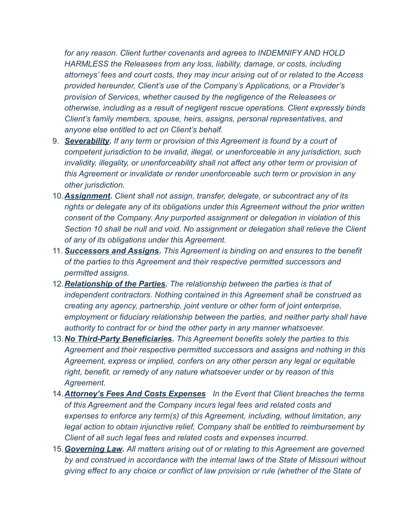*for any reason. Client further covenants and agrees to INDEMNIFY AND HOLD HARMLESS the Releasees from any loss, liability, damage, or costs, including attorneys' fees and court costs, they may incur arising out of or related to the Access provided hereunder, Client's use of the Company's Applications, or a Provider's provision of Services, whether caused by the negligence of the Releasees or otherwise, including as a result of negligent rescue operations. Client expressly binds Client's family members, spouse, heirs, assigns, personal representatives, and anyone else entitled to act on Client's behalf.*

- 9. *Severability. If any term or provision of this Agreement is found by a court of competent jurisdiction to be invalid, illegal, or unenforceable in any jurisdiction, such invalidity, illegality, or unenforceability shall not affect any other term or provision of this Agreement or invalidate or render unenforceable such term or provision in any other jurisdiction.*
- 10.*Assignment. Client shall not assign, transfer, delegate, or subcontract any of its rights or delegate any of its obligations under this Agreement without the prior written consent of the Company. Any purported assignment or delegation in violation of this Section 10 shall be null and void. No assignment or delegation shall relieve the Client of any of its obligations under this Agreement.*
- 11. *Successors and Assigns. This Agreement is binding on and ensures to the benefit of the parties to this Agreement and their respective permitted successors and permitted assigns.*
- 12.*Relationship of the Parties. The relationship between the parties is that of independent contractors. Nothing contained in this Agreement shall be construed as creating any agency, partnership, joint venture or other form of joint enterprise, employment or fiduciary relationship between the parties, and neither party shall have authority to contract for or bind the other party in any manner whatsoever.*
- 13.*No Third-Party Beneficiaries. This Agreement benefits solely the parties to this Agreement and their respective permitted successors and assigns and nothing in this Agreement, express or implied, confers on any other person any legal or equitable right, benefit, or remedy of any nature whatsoever under or by reason of this Agreement.*
- 14.*Attorney's Fees And Costs Expenses In the Event that Client breaches the terms of this Agreement and the Company incurs legal fees and related costs and expenses to enforce any term(s) of this Agreement, including, without limitation, any legal action to obtain injunctive relief, Company shall be entitled to reimbursement by Client of all such legal fees and related costs and expenses incurred.*
- 15.*Governing Law. All matters arising out of or relating to this Agreement are governed by and construed in accordance with the internal laws of the State of Missouri without giving effect to any choice or conflict of law provision or rule (whether of the State of*